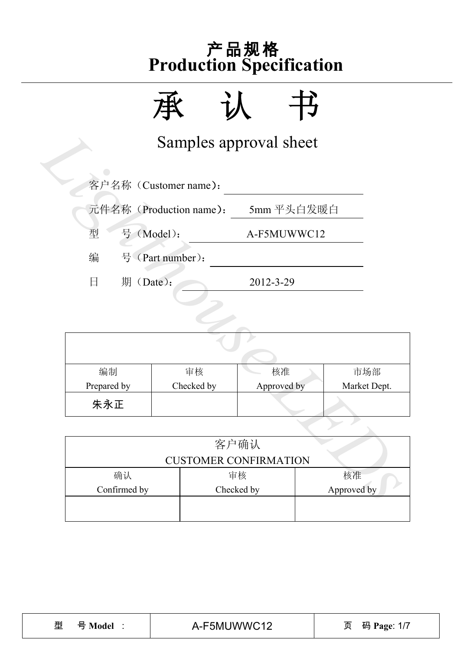

|                |                                       | Samples approval sheet       |              |  |
|----------------|---------------------------------------|------------------------------|--------------|--|
|                | 客户名称 (Customer name):                 |                              |              |  |
|                | 元件名称 (Production name):<br>5mm 平头白发暖白 |                              |              |  |
| 型              | 号 (Model):                            | A-F5MUWWC12                  |              |  |
| 编              | 号 (Part number):                      |                              |              |  |
| 日<br>期 (Date): |                                       | 2012-3-29                    |              |  |
|                |                                       |                              |              |  |
|                |                                       |                              |              |  |
|                |                                       |                              |              |  |
| 编制             | 审核                                    | 核准                           | 市场部          |  |
| Prepared by    | Checked by                            | Approved by                  | Market Dept. |  |
| 朱永正            |                                       |                              |              |  |
|                |                                       |                              |              |  |
|                |                                       | 客户确认                         |              |  |
|                |                                       | <b>CUSTOMER CONFIRMATION</b> |              |  |
| 确认             |                                       | 审核                           | 核准           |  |
| Confirmed by   |                                       | Checked by                   | Approved by  |  |

| 编制          | 审核         | 核准          | 市场部          |  |  |  |
|-------------|------------|-------------|--------------|--|--|--|
| Prepared by | Checked by | Approved by | Market Dept. |  |  |  |
| 朱永正         |            |             |              |  |  |  |

|              | <b>CUSTOMER CONFIRMATION</b> |             |
|--------------|------------------------------|-------------|
| 确认           | 审核                           | 核准          |
| Confirmed by | Checked by                   | Approved by |
|              |                              |             |
|              |                              |             |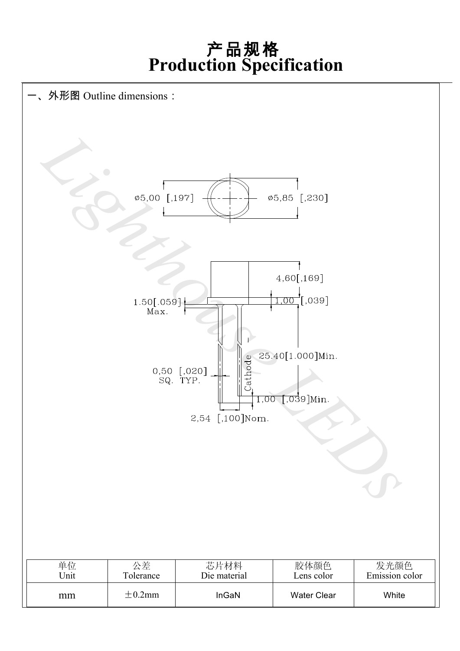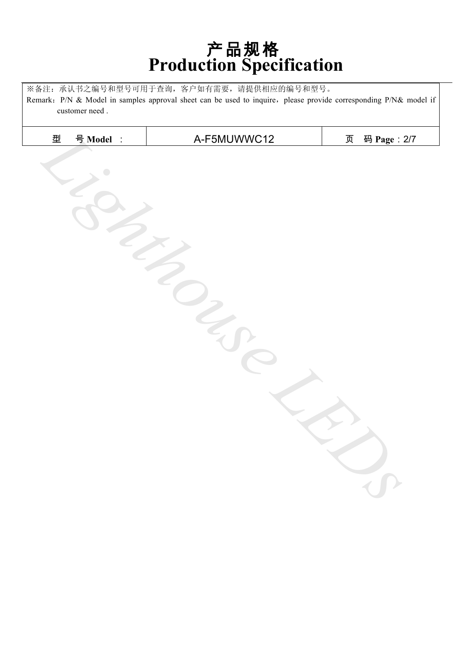※备注:承认书之编号和型号可用于查询,客户如有需要,请提供相应的编号和型号。 Remark: P/N & Model in samples approval sheet can be used to inquire, please provide corresponding P/N& model if customer need .

| 型 | 号 Model :  | A-F5MUWWC12 | 页 | 码 Page: 2/7 |
|---|------------|-------------|---|-------------|
|   | $\bigcirc$ |             |   |             |
|   |            |             |   |             |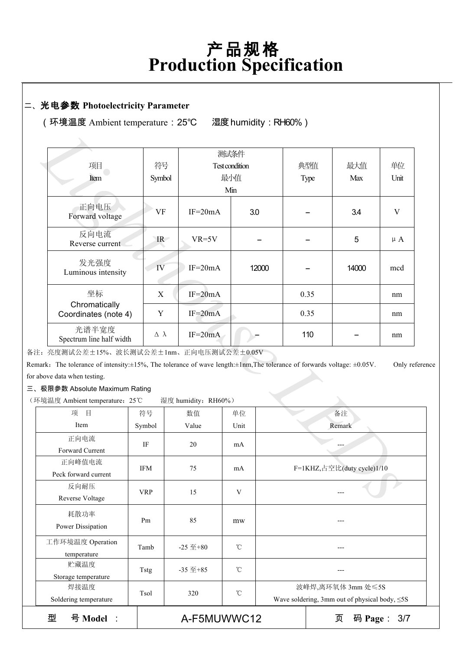#### 二、光电参数 **Photoelectricity Parameter**

(环境温度 Ambient temperature:25℃ 湿度humidity:RH60%)

| 项目                                                                                                                                        | 符号                 |                     | 测试条件<br>Test condition |        | 典型值  | 最大值                        | 单位        |
|-------------------------------------------------------------------------------------------------------------------------------------------|--------------------|---------------------|------------------------|--------|------|----------------------------|-----------|
|                                                                                                                                           |                    |                     | 最小值                    |        |      | Max                        | Unit      |
| Item                                                                                                                                      | Symbol             |                     |                        |        | Type |                            |           |
|                                                                                                                                           |                    |                     | Min                    |        |      |                            |           |
| 正向电压<br>Forward voltage                                                                                                                   | <b>VF</b>          | $IF=20mA$           |                        | 3.0    |      | 3.4                        | V         |
| 反向电流<br>Reverse current                                                                                                                   | IR                 | $VR=5V$             |                        |        |      | 5                          | $\mu A$   |
| 发光强度<br>Luminous intensity                                                                                                                | IV                 | $IF=20mA$           |                        | 12000  |      | 14000                      | mcd       |
| 坐标                                                                                                                                        | X                  | $IF=20mA$           |                        |        | 0.35 |                            | nm        |
| Chromatically<br>Coordinates (note 4)                                                                                                     | Y                  | $IF = 20mA$         |                        |        | 0.35 |                            | nm        |
| 光谱半宽度<br>Spectrum line half width                                                                                                         | $\Delta$ $\lambda$ | $IF=20mA$           |                        |        | 110  |                            | nm        |
| :: 亮度测试公差±15%、波长测试公差±1nm、正向电压测试公差±0.05V                                                                                                   |                    |                     |                        |        |      |                            |           |
| aark. The tolerance of intensity: $\pm 15\%$ , The tolerance of wave length: $\pm 1$ nm, The tolerance of forwards voltage: $\pm 0.05$ V. |                    |                     |                        |        |      |                            | Only refe |
| above data when testing.                                                                                                                  |                    |                     |                        |        |      |                            |           |
| 极限参数 Absolute Maximum Rating                                                                                                              |                    |                     |                        |        |      |                            |           |
| 「境温度 Ambient temperature: 25℃                                                                                                             |                    | 湿度 humidity: RH60%) |                        |        |      |                            |           |
| 项<br>目<br>符号                                                                                                                              |                    | 数值                  | 单位                     |        |      | 备注                         |           |
| Item<br>Symbol                                                                                                                            |                    | Value               | Unit                   | Remark |      |                            |           |
| 正向电流                                                                                                                                      |                    |                     |                        |        |      |                            |           |
| Forward Current                                                                                                                           | IF                 | 20                  | mA                     |        |      |                            |           |
| 正向峰值电流                                                                                                                                    |                    |                     |                        |        |      |                            |           |
| Peck forward current                                                                                                                      | <b>IFM</b>         | 75                  | mA                     |        |      | F=1KHZ,占空比(duty cycle)1/10 |           |
| 反向耐压                                                                                                                                      |                    |                     |                        |        |      |                            |           |
| Reverse Voltage                                                                                                                           | <b>VRP</b>         | 15                  | V                      |        |      |                            |           |

备注:亮度测试公差±15%、波长测试公差±1nm、正向电压测试公差±0.05V

Remark: The tolerance of intensity:±15%, The tolerance of wave length:±1nm,The tolerance of forwards voltage: ±0.05V. Only reference for above data when testing.

三、极限参数 Absolute Maximum Rating

(环境温度 Ambient temperature:25℃ 湿度 humidity:RH60%)

| $1.12$ manifester. Terror |                                         |                  |                                                     |                            |  |
|---------------------------|-----------------------------------------|------------------|-----------------------------------------------------|----------------------------|--|
| 目<br>项                    | 符号                                      | 数值               | 单位                                                  | 备注                         |  |
| Item                      | Symbol                                  | Value            | Unit                                                | Remark                     |  |
| 正向电流                      | IF                                      | 20               | mA                                                  |                            |  |
| Forward Current           |                                         |                  |                                                     |                            |  |
| 正向峰值电流                    | IFM                                     | 75               | mA                                                  | F=1KHZ,占空比(duty cycle)1/10 |  |
| Peck forward current      |                                         |                  |                                                     |                            |  |
| 反向耐压                      | <b>VRP</b>                              | 15               | V                                                   |                            |  |
| Reverse Voltage           |                                         |                  |                                                     |                            |  |
| 耗散功率                      |                                         |                  |                                                     |                            |  |
| Power Dissipation         | Pm                                      | 85               | mw                                                  | ---                        |  |
| 工作环境温度 Operation          | Tamb                                    | $-25 \ncong +80$ | $\rm ^{\circ}C$                                     |                            |  |
| temperature               |                                         |                  |                                                     |                            |  |
| 贮藏温度                      | $\rm ^{\circ}C$<br>$-35 \n  \pm 85Tstg$ |                  |                                                     |                            |  |
| Storage temperature       |                                         |                  |                                                     |                            |  |
| 焊接温度                      | Tsol                                    | 320              | $\rm ^{\circ}C$                                     | 波峰焊,离环氧体 3mm 处≤5S          |  |
| Soldering temperature     |                                         |                  | Wave soldering, 3mm out of physical body, $\leq$ 5S |                            |  |
| 型<br>号 Model :            | A-F5MUWWC12<br>码 Page:<br>页<br>3/7      |                  |                                                     |                            |  |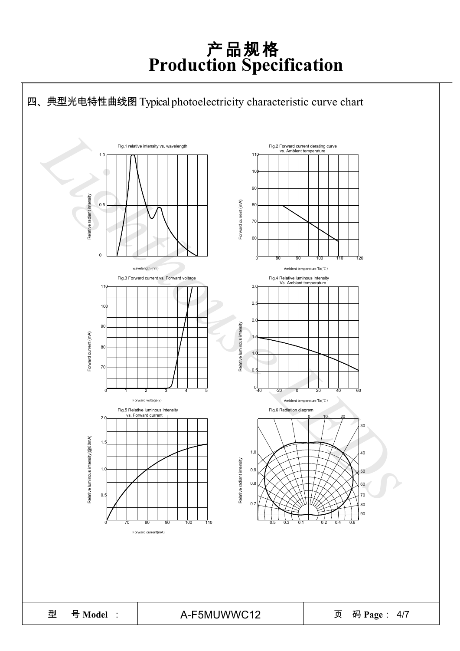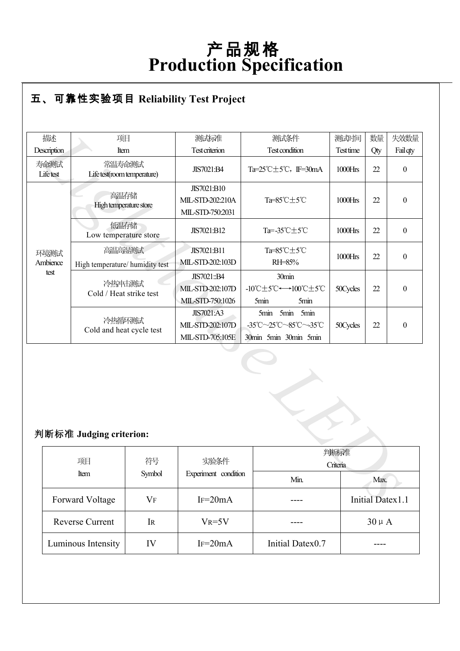#### ● **R** 五、可靠性实验项目 **Reliability Test Project**

| 描述               | 项目                                                                              |           | 测试标准                                                      | 测试条件                                                                | 测试时间      | 数量                      | 失效数量             |
|------------------|---------------------------------------------------------------------------------|-----------|-----------------------------------------------------------|---------------------------------------------------------------------|-----------|-------------------------|------------------|
| Description      | Item                                                                            |           | <b>Test criterion</b>                                     | <b>Test condition</b>                                               | Test time | Qty                     | Fail qty         |
| 寿命测试<br>Lifetest | 常温寿命测试<br>Life test(room temperature)                                           |           | JIS7021:B4                                                | Ta= $25^{\circ}$ C $\pm$ 5 $^{\circ}$ C, IF=30mA                    | 1000Hrs   | 22                      | $\boldsymbol{0}$ |
|                  | 高温存储<br>High temperature store                                                  |           | JIS7021:B10<br>MIL-STD-202:210A<br>MIL-STD-750:2031       | Ta=85°C±5°C                                                         | 1000Hrs   | 22                      | $\boldsymbol{0}$ |
|                  | 低温存储<br>Low temperature store                                                   |           | JIS7021:B12                                               | Ta=-35°C±5°C                                                        | 1000Hrs   | 22                      | $\mathbf{0}$     |
| 环境测试<br>Ambience | 高温高湿测试<br>High temperature/ humidity test                                       |           | JIS7021:B11<br>MIL-STD-202:103D                           | Ta=85°C±5°C<br>RH=85%                                               | 1000Hrs   | 22                      | $\boldsymbol{0}$ |
|                  | test<br>冷热冲击测试<br>Cold / Heat strike test<br>冷热循环测试<br>Cold and heat cycle test |           | JIS7021::B4<br>MIL-STD-202:107D<br>MIL-STD-750:1026       | 30min<br>-10℃±5℃←→100℃±5℃<br>5min<br>5min                           | 50Cycles  | 22                      | $\boldsymbol{0}$ |
|                  |                                                                                 |           | <b>JIS7021:A3</b><br>MIL-STD-202:107D<br>MIL-STD-705:105E | 5min 5min<br>5min<br>-35°C~25°C~85°C~-35°C<br>30min 5min 30min 5min | 50Cycles  | 22                      | $\boldsymbol{0}$ |
|                  | 判断标准 Judging criterion:                                                         |           |                                                           |                                                                     |           |                         |                  |
|                  | 项目                                                                              | 符号        | 实验条件                                                      | 判断标准<br>Criteria                                                    |           |                         |                  |
|                  | Item                                                                            | Symbol    | Experiment condition<br>Min.                              |                                                                     |           | Max.                    |                  |
|                  | <b>Forward Voltage</b>                                                          | <b>VF</b> | $IF=20mA$                                                 |                                                                     |           | <b>Initial Datex1.1</b> |                  |

#### 判断标准 **Judging criterion:**

| 项目                     | 符号        | 实验条件                 | 判断标准<br>Criteria |                  |
|------------------------|-----------|----------------------|------------------|------------------|
| Item                   | Symbol    | Experiment condition | Min.             | Max.             |
| Forward Voltage        | $\rm V_F$ | $IF = 20mA$          |                  | Initial Datex1.1 |
| <b>Reverse Current</b> | <b>IR</b> | $V_R = 5V$           |                  | $30 \mu A$       |
| Luminous Intensity     | IV        | $IF = 20mA$          | Initial Datex0.7 |                  |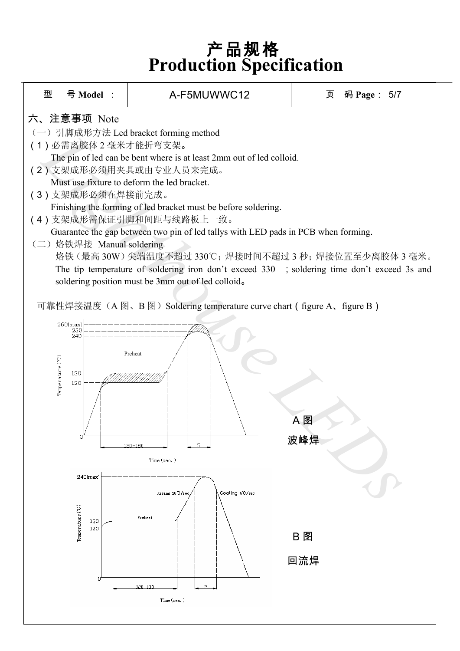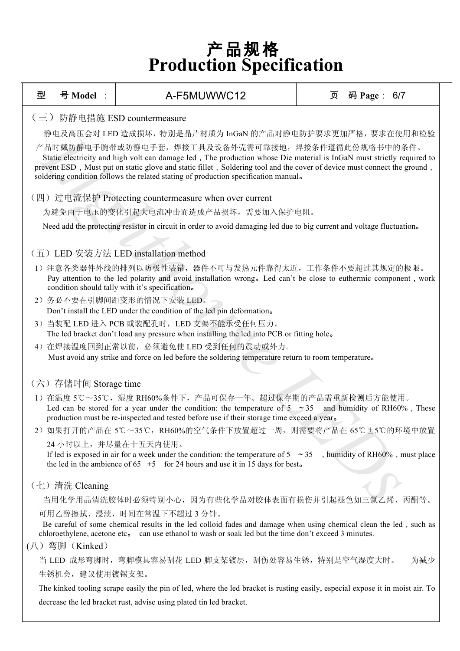| 型 | 号 Model :                                                                                                                                                                                                                                                                                                                                                                                    | A-F5MUWWC12                                                                                                                                                                                                                                  | 页<br>码 Page: 6/7             |  |  |  |  |  |  |  |
|---|----------------------------------------------------------------------------------------------------------------------------------------------------------------------------------------------------------------------------------------------------------------------------------------------------------------------------------------------------------------------------------------------|----------------------------------------------------------------------------------------------------------------------------------------------------------------------------------------------------------------------------------------------|------------------------------|--|--|--|--|--|--|--|
|   | (三) 防静电措施 ESD countermeasure                                                                                                                                                                                                                                                                                                                                                                 |                                                                                                                                                                                                                                              |                              |  |  |  |  |  |  |  |
|   | 静电及高压会对 LED 造成损坏, 特别是晶片材质为 InGaN 的产品对静电防护要求更加严格, 要求在使用和检验                                                                                                                                                                                                                                                                                                                                    |                                                                                                                                                                                                                                              |                              |  |  |  |  |  |  |  |
|   | 产品时戴防静电手腕带或防静电手套,焊接工具及设备外壳需可靠接地,焊接条件遵循此份规格书中的条件。<br>Static electricity and high volt can damage led, The production whose Die material is InGaN must strictly required to<br>prevent ESD, Must put on static glove and static fillet, Soldering tool and the cover of device must connect the ground,<br>soldering condition follows the related stating of production specification manual. |                                                                                                                                                                                                                                              |                              |  |  |  |  |  |  |  |
|   | (四) 过电流保护 Protecting countermeasure when over current                                                                                                                                                                                                                                                                                                                                        |                                                                                                                                                                                                                                              |                              |  |  |  |  |  |  |  |
|   |                                                                                                                                                                                                                                                                                                                                                                                              | 为避免由于电压的变化引起大电流冲击而造成产品损坏,需要加入保护电阻。                                                                                                                                                                                                           |                              |  |  |  |  |  |  |  |
|   |                                                                                                                                                                                                                                                                                                                                                                                              | Need add the protecting resistor in circuit in order to avoid damaging led due to big current and voltage fluctuation.                                                                                                                       |                              |  |  |  |  |  |  |  |
|   |                                                                                                                                                                                                                                                                                                                                                                                              | (五) LED 安装方法 LED installation method                                                                                                                                                                                                         |                              |  |  |  |  |  |  |  |
|   | 1) 注意各类器件外线的排列以防极性装错, 器件不可与发热元件靠得太近, 工作条件不要超过其规定的极限。<br>Pay attention to the led polarity and avoid installation wrong. Led can't be close to euthermic component, work<br>condition should tally with it's specification.                                                                                                                                                                   |                                                                                                                                                                                                                                              |                              |  |  |  |  |  |  |  |
|   |                                                                                                                                                                                                                                                                                                                                                                                              | 2) 务必不要在引脚间距变形的情况下安装 LED。                                                                                                                                                                                                                    |                              |  |  |  |  |  |  |  |
|   |                                                                                                                                                                                                                                                                                                                                                                                              | Don't install the LED under the condition of the led pin deformation.                                                                                                                                                                        |                              |  |  |  |  |  |  |  |
|   |                                                                                                                                                                                                                                                                                                                                                                                              | 3) 当装配 LED 进入 PCB 或装配孔时, LED 支架不能承受任何压力。<br>The led bracket don't load any pressure when installing the led into PCB or fitting hole.                                                                                                        |                              |  |  |  |  |  |  |  |
|   |                                                                                                                                                                                                                                                                                                                                                                                              | 4) 在焊接温度回到正常以前, 必须避免使 LED 受到任何的震动或外力。                                                                                                                                                                                                        |                              |  |  |  |  |  |  |  |
|   |                                                                                                                                                                                                                                                                                                                                                                                              | Must avoid any strike and force on led before the soldering temperature return to room temperature.                                                                                                                                          |                              |  |  |  |  |  |  |  |
|   |                                                                                                                                                                                                                                                                                                                                                                                              |                                                                                                                                                                                                                                              |                              |  |  |  |  |  |  |  |
|   | (六) 存储时间 Storage time                                                                                                                                                                                                                                                                                                                                                                        |                                                                                                                                                                                                                                              |                              |  |  |  |  |  |  |  |
|   |                                                                                                                                                                                                                                                                                                                                                                                              | 1) 在温度 5℃~35℃, 湿度 RH60%条件下, 产品可保存一年。超过保存期的产品需重新检测后方能使用。<br>Led can be stored for a year under the condition: the temperature of $5 \approx 35$<br>production must be re-inspected and tested before use if their storage time exceed a year. | and humidity of RH60%, These |  |  |  |  |  |  |  |
|   |                                                                                                                                                                                                                                                                                                                                                                                              | 2) 如果打开的产品在 5℃~35℃, RH60%的空气条件下放置超过一周, 则需要将产品在 65℃±5℃的环境中放置                                                                                                                                                                                  |                              |  |  |  |  |  |  |  |
|   |                                                                                                                                                                                                                                                                                                                                                                                              | 24 小时以上, 并尽量在十五天内使用。                                                                                                                                                                                                                         |                              |  |  |  |  |  |  |  |
|   | If led is exposed in air for a week under the condition: the temperature of $5 \sim 35$ , humidity of RH60%, must place<br>the led in the ambience of 65 $\pm$ 5 for 24 hours and use it in 15 days for best.                                                                                                                                                                                |                                                                                                                                                                                                                                              |                              |  |  |  |  |  |  |  |
|   | (七) 清洗 Cleaning                                                                                                                                                                                                                                                                                                                                                                              |                                                                                                                                                                                                                                              |                              |  |  |  |  |  |  |  |
|   | 当用化学用品清洗胶体时必须特别小心,因为有些化学品对胶体表面有损伤并引起褪色如三氯乙烯、丙酮等。                                                                                                                                                                                                                                                                                                                                             |                                                                                                                                                                                                                                              |                              |  |  |  |  |  |  |  |
|   | 可用乙醇擦拭、浸渍, 时间在常温下不超过3分钟。<br>Be careful of some chemical results in the led colloid fades and damage when using chemical clean the led, such as<br>chloroethylene, acetone etc. can use ethanol to wash or soak led but the time don't exceed 3 minutes.                                                                                                                                      |                                                                                                                                                                                                                                              |                              |  |  |  |  |  |  |  |
|   | $($ 八 $)$ 弯脚 (Kinked)                                                                                                                                                                                                                                                                                                                                                                        |                                                                                                                                                                                                                                              |                              |  |  |  |  |  |  |  |
|   |                                                                                                                                                                                                                                                                                                                                                                                              | 当 LED 成形弯脚时,弯脚模具容易刮花 LED 脚支架镀层,刮伤处容易生锈,特别是空气湿度大时。                                                                                                                                                                                            | 为减少                          |  |  |  |  |  |  |  |
|   | 生锈机会, 建议使用镀锡支架。                                                                                                                                                                                                                                                                                                                                                                              |                                                                                                                                                                                                                                              |                              |  |  |  |  |  |  |  |
|   | The kinked tooling scrape easily the pin of led, where the led bracket is rusting easily, especial expose it in moist air. To                                                                                                                                                                                                                                                                |                                                                                                                                                                                                                                              |                              |  |  |  |  |  |  |  |

decrease the led bracket rust, advise using plated tin led bracket.